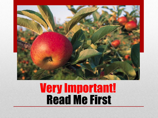

## Read Me First Very Important!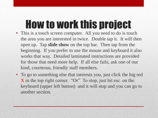## How to work this project

- This is a touch screen computer. All you need to do is touch the area you are interested in twice. Double tap it. It will then open up. Tap **slide show** on the top bar. Then tap from the beginning. If you prefer to use the mouse and keyboard it also works that way. Detailed laminated instructions are provided for those that need more help. If all else fails, ask one of our kind, courteous, friendly staff members.
- To go to something else that interests you, just click the big red **X** in the top right corner. "Or" To stop, just hit esc. on the keyboard (upper left button) and it will stop and you can go to another section.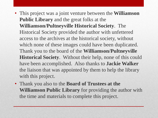- This project was a joint venture between the **Williamson Public Library** and the great folks at the **Williamson/Pultneyville Historical Society**. The Historical Society provided the author with unfettered access to the archives at the historical society, without which none of these images could have been duplicated. Thank you to the board of the **Williamson/Pultneyville Historical Society**. Without their help, none of this could have been accomplished. Also thanks to **Jackie Walker**  the liaison that was appointed by them to help the library with this project.
- Thank you also to the **Board of Trustees at the Williamson Public Library** for providing the author with the time and materials to complete this project.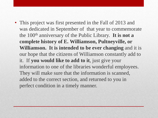• This project was first presented in the Fall of 2013 and was dedicated in September of that year to commemorate the 100th anniversary of the Public Library. **It is not a complete history of E. Williamson, Pultneyville, or Williamson. It is intended to be ever changing** and it is our hope that the citizens of Williamson constantly add to it. If **you would like to add to it**, just give your information to one of the libraries wonderful employees. They will make sure that the information is scanned, added to the correct section, and returned to you in perfect condition in a timely manner.